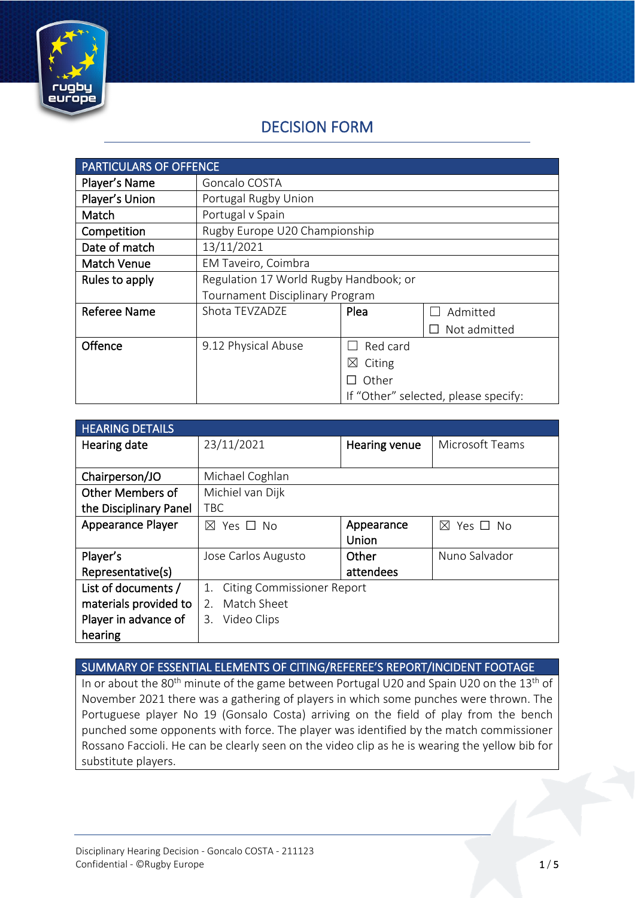

# DECISION FORM

| <b>PARTICULARS OF OFFENCE</b> |                                        |                       |                                      |
|-------------------------------|----------------------------------------|-----------------------|--------------------------------------|
| Player's Name                 | Goncalo COSTA                          |                       |                                      |
| Player's Union                | Portugal Rugby Union                   |                       |                                      |
| Match                         | Portugal v Spain                       |                       |                                      |
| Competition                   | Rugby Europe U20 Championship          |                       |                                      |
| Date of match                 | 13/11/2021                             |                       |                                      |
| <b>Match Venue</b>            | EM Taveiro, Coimbra                    |                       |                                      |
| Rules to apply                | Regulation 17 World Rugby Handbook; or |                       |                                      |
|                               | <b>Tournament Disciplinary Program</b> |                       |                                      |
| <b>Referee Name</b>           | Shota TEVZADZE                         | Plea                  | Admitted                             |
|                               |                                        |                       | Not admitted                         |
| Offence                       | 9.12 Physical Abuse                    | Red card              |                                      |
|                               |                                        | Citing<br>$\boxtimes$ |                                      |
|                               |                                        | Other                 |                                      |
|                               |                                        |                       | If "Other" selected, please specify: |

| <b>HEARING DETAILS</b> |                                         |               |                       |
|------------------------|-----------------------------------------|---------------|-----------------------|
| Hearing date           | 23/11/2021                              | Hearing venue | Microsoft Teams       |
|                        |                                         |               |                       |
| Chairperson/JO         | Michael Coghlan                         |               |                       |
| Other Members of       | Michiel van Dijk                        |               |                       |
| the Disciplinary Panel | <b>TBC</b>                              |               |                       |
| Appearance Player      | Yes □ No<br>$\bowtie$                   | Appearance    | $\bowtie$<br>Yes □ No |
|                        |                                         | Union         |                       |
| Player's               | Jose Carlos Augusto                     | Other         | Nuno Salvador         |
| Representative(s)      |                                         | attendees     |                       |
| List of documents /    | 1.<br><b>Citing Commissioner Report</b> |               |                       |
| materials provided to  | Match Sheet<br>2.                       |               |                       |
| Player in advance of   | 3. Video Clips                          |               |                       |
| hearing                |                                         |               |                       |

## SUMMARY OF ESSENTIAL ELEMENTS OF CITING/REFEREE'S REPORT/INCIDENT FOOTAGE

In or about the 80<sup>th</sup> minute of the game between Portugal U20 and Spain U20 on the 13<sup>th</sup> of November 2021 there was a gathering of players in which some punches were thrown. The Portuguese player No 19 (Gonsalo Costa) arriving on the field of play from the bench punched some opponents with force. The player was identified by the match commissioner Rossano Faccioli. He can be clearly seen on the video clip as he is wearing the yellow bib for substitute players.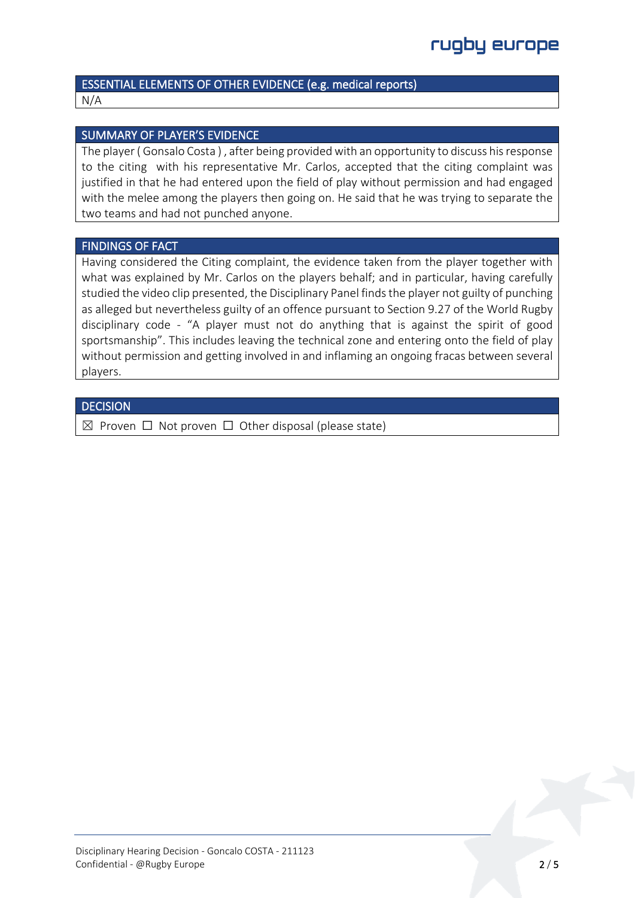#### ESSENTIAL ELEMENTS OF OTHER EVIDENCE (e.g. medical reports) N/A

### SUMMARY OF PLAYER'S EVIDENCE

The player ( Gonsalo Costa ) , after being provided with an opportunity to discuss his response to the citing with his representative Mr. Carlos, accepted that the citing complaint was justified in that he had entered upon the field of play without permission and had engaged with the melee among the players then going on. He said that he was trying to separate the two teams and had not punched anyone.

### FINDINGS OF FACT

Having considered the Citing complaint, the evidence taken from the player together with what was explained by Mr. Carlos on the players behalf; and in particular, having carefully studied the video clip presented, the Disciplinary Panel finds the player not guilty of punching as alleged but nevertheless guilty of an offence pursuant to Section 9.27 of the World Rugby disciplinary code - "A player must not do anything that is against the spirit of good sportsmanship". This includes leaving the technical zone and entering onto the field of play without permission and getting involved in and inflaming an ongoing fracas between several players.

### **DECISION**

 $\boxtimes$  Proven  $\Box$  Not proven  $\Box$  Other disposal (please state)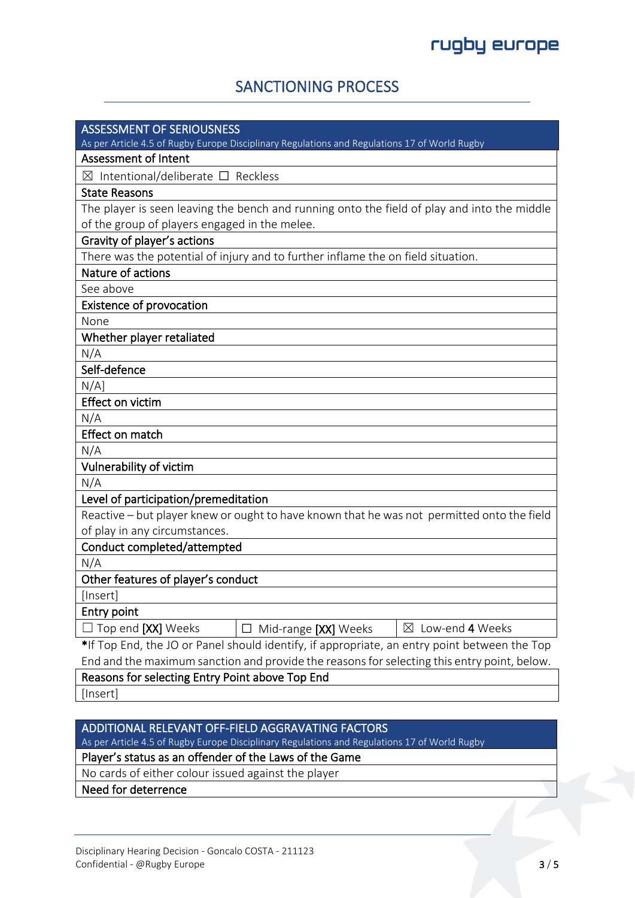## SANCTIONING PROCESS

| <b>ASSESSMENT OF SERIOUSNESS</b>                                                                                             |  |  |
|------------------------------------------------------------------------------------------------------------------------------|--|--|
| As per Article 4.5 of Rugby Europe Disciplinary Regulations and Regulations 17 of World Rugby<br><b>Assessment of Intent</b> |  |  |
| $\boxtimes$ Intentional/deliberate $\square$ Reckless                                                                        |  |  |
| <b>State Reasons</b>                                                                                                         |  |  |
| The player is seen leaving the bench and running onto the field of play and into the middle                                  |  |  |
| of the group of players engaged in the melee.                                                                                |  |  |
| Gravity of player's actions                                                                                                  |  |  |
| There was the potential of injury and to further inflame the on field situation.                                             |  |  |
| Nature of actions                                                                                                            |  |  |
| See above                                                                                                                    |  |  |
| <b>Existence of provocation</b>                                                                                              |  |  |
| None                                                                                                                         |  |  |
| Whether player retaliated                                                                                                    |  |  |
| N/A                                                                                                                          |  |  |
| Self-defence                                                                                                                 |  |  |
| N/A                                                                                                                          |  |  |
| <b>Effect on victim</b>                                                                                                      |  |  |
| N/A                                                                                                                          |  |  |
| Effect on match                                                                                                              |  |  |
| N/A                                                                                                                          |  |  |
| Vulnerability of victim                                                                                                      |  |  |
| N/A                                                                                                                          |  |  |
| Level of participation/premeditation                                                                                         |  |  |
| Reactive - but player knew or ought to have known that he was not permitted onto the field                                   |  |  |
| of play in any circumstances.                                                                                                |  |  |
| Conduct completed/attempted                                                                                                  |  |  |
| N/A                                                                                                                          |  |  |
| Other features of player's conduct                                                                                           |  |  |
| [Insert]                                                                                                                     |  |  |
| Entry point                                                                                                                  |  |  |
| $\Box$ Top end [XX] Weeks<br>$\boxtimes$ Low-end 4 Weeks<br>$\Box$ Mid-range [XX] Weeks                                      |  |  |
| *If Top End, the JO or Panel should identify, if appropriate, an entry point between the Top                                 |  |  |
| End and the maximum sanction and provide the reasons for selecting this entry point, below.                                  |  |  |
| Reasons for selecting Entry Point above Top End                                                                              |  |  |
| [Insert]                                                                                                                     |  |  |
|                                                                                                                              |  |  |
| ADDITIONAL RELEVANT OFF-FIELD AGGRAVATING FACTORS                                                                            |  |  |

As per Article 4.5 of Rugby Europe Disciplinary Regulations and Regulations 17 of World Rugby

## Player's status as an offender of the Laws of the Game

No cards of either colour issued against the player

### Need for deterrence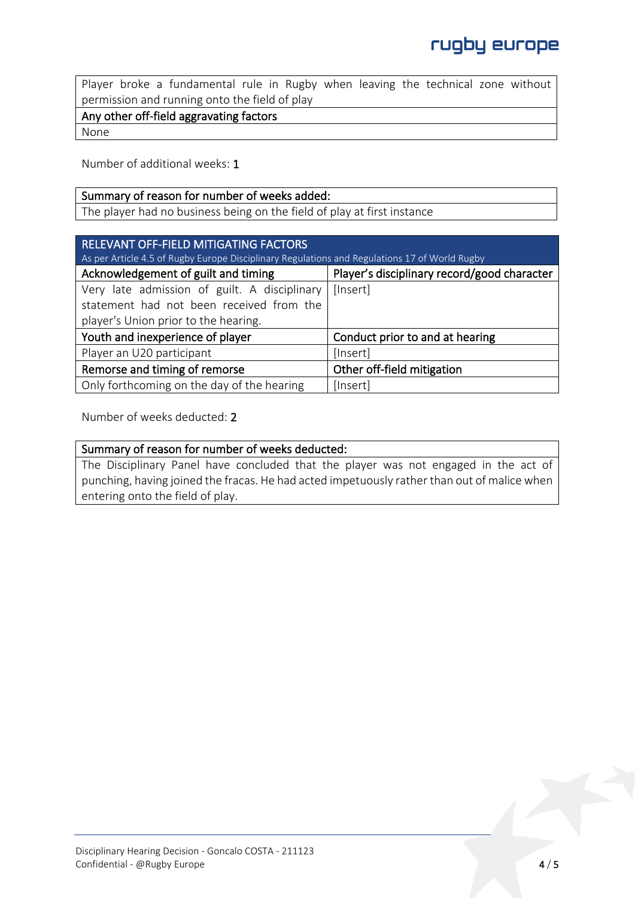Player broke a fundamental rule in Rugby when leaving the technical zone without permission and running onto the field of play

Any other off-field aggravating factors

None

Number of additional weeks: 1

### Summary of reason for number of weeks added:

The player had no business being on the field of play at first instance

| RELEVANT OFF-FIELD MITIGATING FACTORS<br>As per Article 4.5 of Rugby Europe Disciplinary Regulations and Regulations 17 of World Rugby |                                             |  |  |
|----------------------------------------------------------------------------------------------------------------------------------------|---------------------------------------------|--|--|
| Acknowledgement of guilt and timing                                                                                                    | Player's disciplinary record/good character |  |  |
| Very late admission of guilt. A disciplinary                                                                                           | [Insert]                                    |  |  |
| statement had not been received from the                                                                                               |                                             |  |  |
| player's Union prior to the hearing.                                                                                                   |                                             |  |  |
| Youth and inexperience of player                                                                                                       | Conduct prior to and at hearing             |  |  |
| Player an U20 participant                                                                                                              | [Insert]                                    |  |  |
| Remorse and timing of remorse                                                                                                          | Other off-field mitigation                  |  |  |
| Only forthcoming on the day of the hearing                                                                                             | [Insert]                                    |  |  |

Number of weeks deducted: 2

Summary of reason for number of weeks deducted:

The Disciplinary Panel have concluded that the player was not engaged in the act of punching, having joined the fracas. He had acted impetuously rather than out of malice when entering onto the field of play.